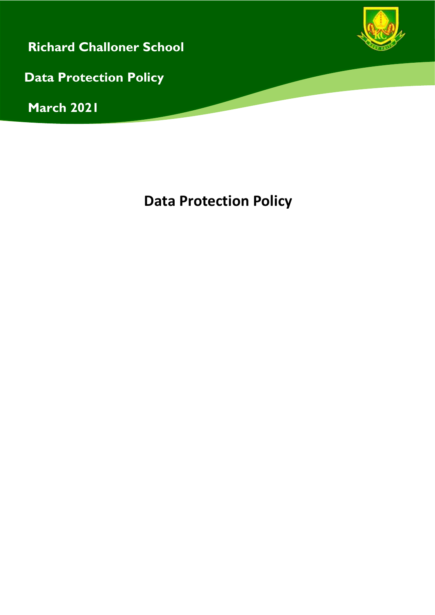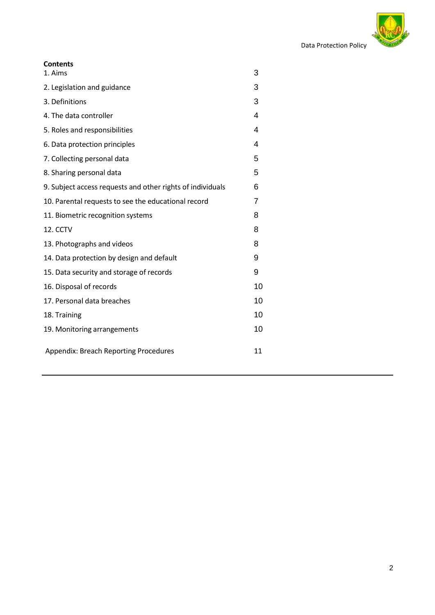

| <b>Contents</b>                                            |    |
|------------------------------------------------------------|----|
| 1. Aims                                                    | 3  |
| 2. Legislation and guidance                                | 3  |
| 3. Definitions                                             | 3  |
| 4. The data controller                                     | 4  |
| 5. Roles and responsibilities                              | 4  |
| 6. Data protection principles                              | 4  |
| 7. Collecting personal data                                | 5  |
| 8. Sharing personal data                                   | 5  |
| 9. Subject access requests and other rights of individuals | 6  |
| 10. Parental requests to see the educational record        | 7  |
| 11. Biometric recognition systems                          | 8  |
| 12. CCTV                                                   | 8  |
| 13. Photographs and videos                                 | 8  |
| 14. Data protection by design and default                  | 9  |
| 15. Data security and storage of records                   | 9  |
| 16. Disposal of records                                    | 10 |
| 17. Personal data breaches                                 | 10 |
| 18. Training                                               | 10 |
| 19. Monitoring arrangements                                | 10 |
| Appendix: Breach Reporting Procedures                      | 11 |
|                                                            |    |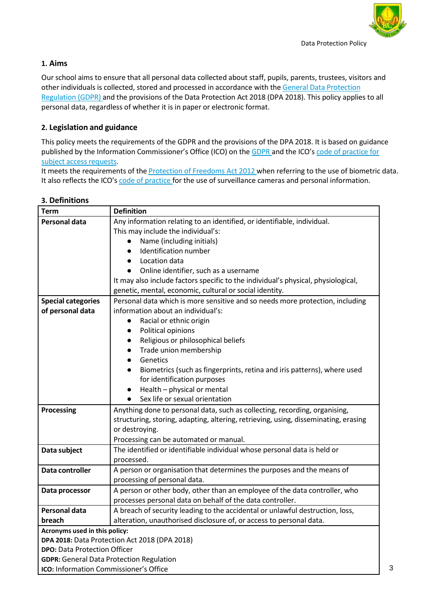

## **1. Aims**

Our school aims to ensure that all personal data collected about staff, pupils, parents, trustees, visitors and other individuals is collected, stored and processed in accordance with the General Data [Protection](http://data.consilium.europa.eu/doc/document/ST-5419-2016-INIT/en/pdf) [Regulation](http://data.consilium.europa.eu/doc/document/ST-5419-2016-INIT/en/pdf) (GDPR) and the provisions of the Data Protection Act 2018 (DPA 2018). This policy applies to all personal data, regardless of whether it is in paper or electronic format.

# **2. Legislation and guidance**

**ICO:** Information Commissioner's Office

This policy meets the requirements of the GDPR and the provisions of the DPA 2018. It is based on guidance published by the Information Commissioner's Office (ICO) on the [GDPR](https://ico.org.uk/for-organisations/guide-to-the-general-data-protection-regulation-gdpr/) and the ICO's code of [practice](https://ico.org.uk/media/for-organisations/documents/2014223/subject-access-code-of-practice.pdf) for subject access [requests.](https://ico.org.uk/media/for-organisations/documents/2014223/subject-access-code-of-practice.pdf)

It meets the requirements of the [Protection of Freedoms Act 2012](https://www.legislation.gov.uk/ukpga/2012/9/part/1/chapter/2) when referring to the use of biometric data. It also reflects the ICO's code of [practice](https://ico.org.uk/media/for-organisations/documents/1542/cctv-code-of-practice.pdf) for the use of surveillance cameras and personal information.

| Term                                            | <b>Definition</b>                                                                   |  |
|-------------------------------------------------|-------------------------------------------------------------------------------------|--|
| Personal data                                   | Any information relating to an identified, or identifiable, individual.             |  |
|                                                 | This may include the individual's:                                                  |  |
|                                                 | Name (including initials)<br>$\bullet$                                              |  |
|                                                 | Identification number<br>$\bullet$                                                  |  |
|                                                 | Location data<br>$\bullet$                                                          |  |
|                                                 | Online identifier, such as a username<br>$\bullet$                                  |  |
|                                                 | It may also include factors specific to the individual's physical, physiological,   |  |
|                                                 | genetic, mental, economic, cultural or social identity.                             |  |
| <b>Special categories</b>                       | Personal data which is more sensitive and so needs more protection, including       |  |
| of personal data                                | information about an individual's:                                                  |  |
|                                                 | Racial or ethnic origin                                                             |  |
|                                                 | Political opinions<br>$\bullet$                                                     |  |
|                                                 | Religious or philosophical beliefs<br>$\bullet$                                     |  |
|                                                 | Trade union membership<br>$\bullet$                                                 |  |
|                                                 | Genetics<br>$\bullet$                                                               |  |
|                                                 | Biometrics (such as fingerprints, retina and iris patterns), where used             |  |
|                                                 | for identification purposes                                                         |  |
|                                                 | Health - physical or mental<br>$\bullet$                                            |  |
|                                                 | Sex life or sexual orientation<br>$\bullet$                                         |  |
| Processing                                      | Anything done to personal data, such as collecting, recording, organising,          |  |
|                                                 | structuring, storing, adapting, altering, retrieving, using, disseminating, erasing |  |
|                                                 | or destroying.                                                                      |  |
|                                                 | Processing can be automated or manual.                                              |  |
| Data subject                                    | The identified or identifiable individual whose personal data is held or            |  |
|                                                 | processed.                                                                          |  |
| Data controller                                 | A person or organisation that determines the purposes and the means of              |  |
|                                                 | processing of personal data.                                                        |  |
| Data processor                                  | A person or other body, other than an employee of the data controller, who          |  |
|                                                 | processes personal data on behalf of the data controller.                           |  |
| <b>Personal data</b>                            | A breach of security leading to the accidental or unlawful destruction, loss,       |  |
| breach                                          | alteration, unauthorised disclosure of, or access to personal data.                 |  |
| Acronyms used in this policy:                   |                                                                                     |  |
| DPA 2018: Data Protection Act 2018 (DPA 2018)   |                                                                                     |  |
| <b>DPO:</b> Data Protection Officer             |                                                                                     |  |
| <b>GDPR:</b> General Data Protection Regulation |                                                                                     |  |

## **3. Definitions**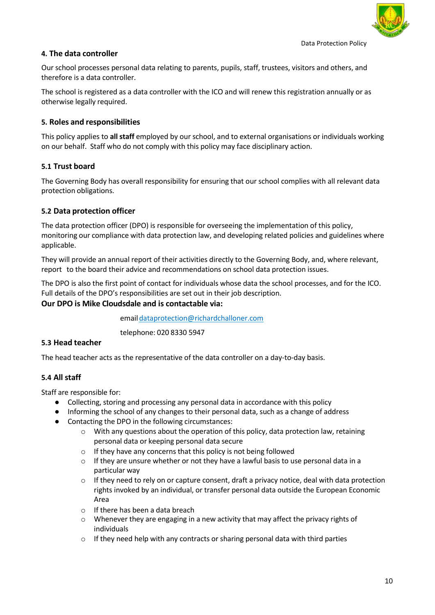# **4. The data controller**

Our school processes personal data relating to parents, pupils, staff, trustees, visitors and others, and therefore is a data controller.

The school is registered as a data controller with the ICO and will renew this registration annually or as otherwise legally required.

# **5. Roles and responsibilities**

This policy applies to **all staff** employed by our school, and to external organisations or individuals working on our behalf. Staff who do not comply with this policy may face disciplinary action.

## **5.1 Trust board**

The Governing Body has overall responsibility for ensuring that our school complies with all relevant data protection obligations.

## **5.2 Data protection officer**

The data protection officer (DPO) is responsible for overseeing the implementation of this policy, monitoring our compliance with data protection law, and developing related policies and guidelines where applicable.

They will provide an annual report of their activities directly to the Governing Body, and, where relevant, report to the board their advice and recommendations on school data protection issues.

The DPO is also the first point of contact for individuals whose data the school processes, and for the ICO. Full details of the DPO's responsibilities are set out in their job description.

## **Our DPO is Mike Cloudsdale and is contactable via:**

email dataprotection@richardchalloner.com

telephone: 020 8330 5947

### **5.3 Head teacher**

The head teacher acts as the representative of the data controller on a day-to-day basis.

# **5.4 All staff**

Staff are responsible for:

- Collecting, storing and processing any personal data in accordance with this policy
- Informing the school of any changes to their personal data, such as a change of address
- Contacting the DPO in the following circumstances:
	- $\circ$  With any questions about the operation of this policy, data protection law, retaining personal data or keeping personal data secure
	- $\circ$  If they have any concerns that this policy is not being followed
	- $\circ$  If they are unsure whether or not they have a lawful basis to use personal data in a particular way
	- $\circ$  If they need to rely on or capture consent, draft a privacy notice, deal with data protection rights invoked by an individual, or transfer personal data outside the European Economic Area
	- o If there has been a data breach
	- $\circ$  Whenever they are engaging in a new activity that may affect the privacy rights of individuals
	- $\circ$  If they need help with any contracts or sharing personal data with third parties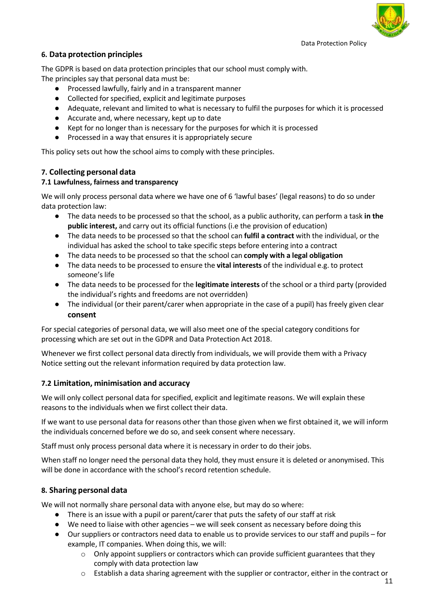# **6. Data protection principles**

The GDPR is based on data protection principles that our school must comply with. The principles say that personal data must be:

- Processed lawfully, fairly and in a transparent manner
- Collected for specified, explicit and legitimate purposes
- Adequate, relevant and limited to what is necessary to fulfil the purposes for which it is processed
- Accurate and, where necessary, kept up to date
- Kept for no longer than is necessary for the purposes for which it is processed
- Processed in a way that ensures it is appropriately secure

This policy sets out how the school aims to comply with these principles.

#### **7. Collecting personal data**

#### **7.1 Lawfulness, fairness and transparency**

We will only process personal data where we have one of 6 'lawful bases' (legal reasons) to do so under data protection law:

- The data needs to be processed so that the school, as a public authority, can perform a task **in the public interest,** and carry out its official functions (i.e the provision of education)
- The data needs to be processed so that the school can **fulfil a contract** with the individual, or the individual has asked the school to take specific steps before entering into a contract
- The data needs to be processed so that the school can **comply with a legal obligation**
- The data needs to be processed to ensure the **vital interests** of the individual e.g. to protect someone's life
- The data needs to be processed for the **legitimate interests** of the school or a third party (provided the individual's rights and freedoms are not overridden)
- The individual (or their parent/carer when appropriate in the case of a pupil) has freely given clear **consent**

For special categories of personal data, we will also meet one of the special category conditions for processing which are set out in the GDPR and Data Protection Act 2018.

Whenever we first collect personal data directly from individuals, we will provide them with a Privacy Notice setting out the relevant information required by data protection law.

#### **7.2 Limitation, minimisation and accuracy**

We will only collect personal data for specified, explicit and legitimate reasons. We will explain these reasons to the individuals when we first collect their data.

If we want to use personal data for reasons other than those given when we first obtained it, we will inform the individuals concerned before we do so, and seek consent where necessary.

Staff must only process personal data where it is necessary in order to do their jobs.

When staff no longer need the personal data they hold, they must ensure it is deleted or anonymised. This will be done in accordance with the school's record retention schedule.

### **8. Sharing personal data**

We will not normally share personal data with anyone else, but may do so where:

- There is an issue with a pupil or parent/carer that puts the safety of our staff at risk
- We need to liaise with other agencies we will seek consent as necessary before doing this
- Our suppliers or contractors need data to enable us to provide services to our staff and pupils for example, IT companies. When doing this, we will:
	- $\circ$  Only appoint suppliers or contractors which can provide sufficient guarantees that they comply with data protection law
	- $\circ$  Establish a data sharing agreement with the supplier or contractor, either in the contract or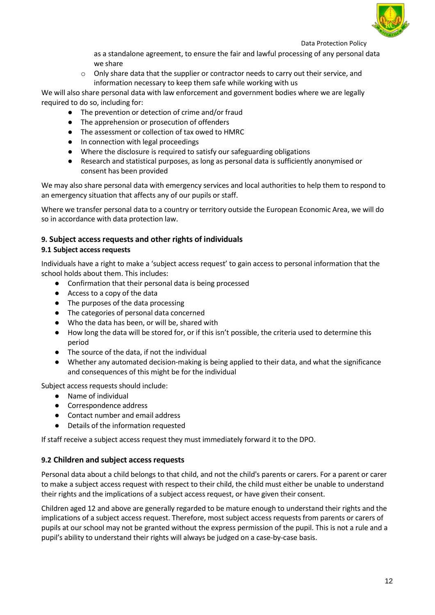

as a standalone agreement, to ensure the fair and lawful processing of any personal data we share

 $\circ$  Only share data that the supplier or contractor needs to carry out their service, and information necessary to keep them safe while working with us

We will also share personal data with law enforcement and government bodies where we are legally required to do so, including for:

- The prevention or detection of crime and/or fraud
- The apprehension or prosecution of offenders
- The assessment or collection of tax owed to HMRC
- In connection with legal proceedings
- Where the disclosure is required to satisfy our safeguarding obligations
- Research and statistical purposes, as long as personal data is sufficiently anonymised or consent has been provided

We may also share personal data with emergency services and local authorities to help them to respond to an emergency situation that affects any of our pupils or staff.

Where we transfer personal data to a country or territory outside the European Economic Area, we will do so in accordance with data protection law.

### **9. Subject access requests and other rights of individuals**

#### **9.1 Subject access requests**

Individuals have a right to make a 'subject access request' to gain access to personal information that the school holds about them. This includes:

- Confirmation that their personal data is being processed
- Access to a copy of the data
- The purposes of the data processing
- The categories of personal data concerned
- Who the data has been, or will be, shared with
- How long the data will be stored for, or if this isn't possible, the criteria used to determine this period
- The source of the data, if not the individual
- Whether any automated decision-making is being applied to their data, and what the significance and consequences of this might be for the individual

Subject access requests should include:

- Name of individual
- Correspondence address
- Contact number and email address
- Details of the information requested

If staff receive a subject access request they must immediately forward it to the DPO.

#### **9.2 Children and subject access requests**

Personal data about a child belongs to that child, and not the child's parents or carers. For a parent or carer to make a subject access request with respect to their child, the child must either be unable to understand their rights and the implications of a subject access request, or have given their consent.

Children aged 12 and above are generally regarded to be mature enough to understand their rights and the implications of a subject access request. Therefore, most subject access requests from parents or carers of pupils at our school may not be granted without the express permission of the pupil. This is not a rule and a pupil's ability to understand their rights will always be judged on a case-by-case basis.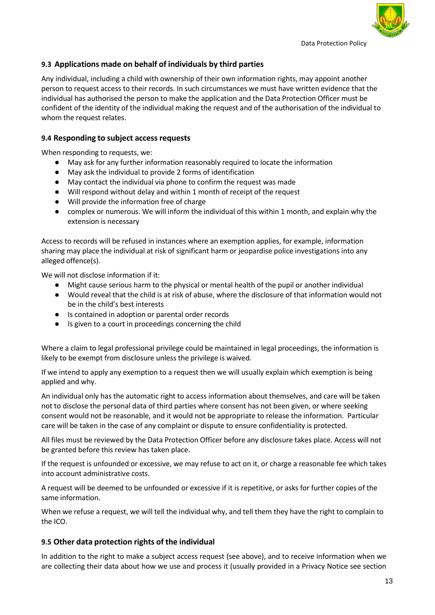

### **9.3 Applications made on behalf of individuals by third parties**

Any individual, including a child with ownership of their own information rights, may appoint another person to request access to their records. In such circumstances we must have written evidence that the individual has authorised the person to make the application and the Data Protection Officer must be confident of the identity of the individual making the request and of the authorisation of the individual to whom the request relates.

### **9.4 Responding to subject access requests**

When responding to requests, we:

- May ask for any further information reasonably required to locate the information
- May ask the individual to provide 2 forms of identification
- May contact the individual via phone to confirm the request was made
- Will respond without delay and within 1 month of receipt of the request
- Will provide the information free of charge
- complex or numerous. We will inform the individual of this within 1 month, and explain why the extension is necessary

Access to records will be refused in instances where an exemption applies, for example, information sharing may place the individual at risk of significant harm or jeopardise police investigations into any alleged offence(s).

We will not disclose information if it:

- Might cause serious harm to the physical or mental health of the pupil or another individual
- Would reveal that the child is at risk of abuse, where the disclosure of that information would not be in the child's best interests
- Is contained in adoption or parental order records
- Is given to a court in proceedings concerning the child

Where a claim to legal professional privilege could be maintained in legal proceedings, the information is likely to be exempt from disclosure unless the privilege is waived.

If we intend to apply any exemption to a request then we will usually explain which exemption is being applied and why.

An individual only has the automatic right to access information about themselves, and care will be taken not to disclose the personal data of third parties where consent has not been given, or where seeking consent would not be reasonable, and it would not be appropriate to release the information. Particular care will be taken in the case of any complaint or dispute to ensure confidentiality is protected.

All files must be reviewed by the Data Protection Officer before any disclosure takes place. Access will not be granted before this review has taken place.

If the request is unfounded or excessive, we may refuse to act on it, or charge a reasonable fee which takes into account administrative costs.

A request will be deemed to be unfounded or excessive if it is repetitive, or asks for further copies of the same information.

When we refuse a request, we will tell the individual why, and tell them they have the right to complain to the ICO.

### **9.5 Other data protection rights of the individual**

In addition to the right to make a subject access request (see above), and to receive information when we are collecting their data about how we use and process it (usually provided in a Privacy Notice see section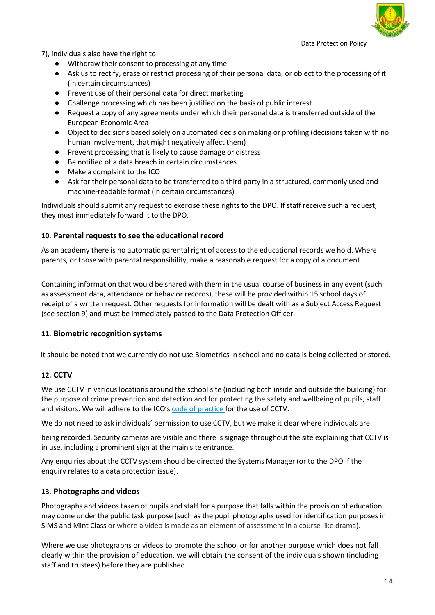

7), individuals also have the right to:

- Withdraw their consent to processing at any time
- Ask us to rectify, erase or restrict processing of their personal data, or object to the processing of it (in certain circumstances)
- Prevent use of their personal data for direct marketing
- Challenge processing which has been justified on the basis of public interest
- Request a copy of any agreements under which their personal data is transferred outside of the European Economic Area
- Object to decisions based solely on automated decision making or profiling (decisions taken with no human involvement, that might negatively affect them)
- Prevent processing that is likely to cause damage or distress
- Be notified of a data breach in certain circumstances
- Make a complaint to the ICO
- Ask for their personal data to be transferred to a third party in a structured, commonly used and machine-readable format (in certain circumstances)

Individuals should submit any request to exercise these rights to the DPO. If staff receive such a request, they must immediately forward it to the DPO.

### **10. Parental requests to see the educational record**

As an academy there is no automatic parental right of access to the educational records we hold. Where parents, or those with parental responsibility, make a reasonable request for a copy of a document

Containing information that would be shared with them in the usual course of business in any event (such as assessment data, attendance or behavior records), these will be provided within 15 school days of receipt of a written request. Other requests for information will be dealt with as a Subject Access Request (see section 9) and must be immediately passed to the Data Protection Officer.

#### **11. Biometric recognition systems**

It should be noted that we currently do not use Biometrics in school and no data is being collected or stored.

### **12. CCTV**

We use CCTV in various locations around the school site (including both inside and outside the building) for the purpose of crime prevention and detection and for protecting the safety and wellbeing of pupils, staff and visitors. We will adhere to the ICO's code of [practice f](https://ico.org.uk/media/for-organisations/documents/1542/cctv-code-of-practice.pdf)or the use of CCTV.

We do not need to ask individuals' permission to use CCTV, but we make it clear where individuals are

being recorded. Security cameras are visible and there is signage throughout the site explaining that CCTV is in use, including a prominent sign at the main site entrance.

Any enquiries about the CCTV system should be directed the Systems Manager (or to the DPO if the enquiry relates to a data protection issue).

#### **13. Photographs and videos**

Photographs and videos taken of pupils and staff for a purpose that falls within the provision of education may come under the public task purpose (such as the pupil photographs used for identification purposes in SIMS and Mint Class or where a video is made as an element of assessment in a course like drama).

Where we use photographs or videos to promote the school or for another purpose which does not fall clearly within the provision of education, we will obtain the consent of the individuals shown (including staff and trustees) before they are published.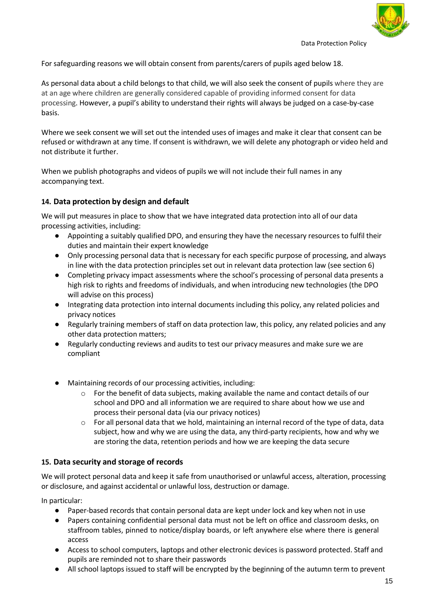

For safeguarding reasons we will obtain consent from parents/carers of pupils aged below 18.

As personal data about a child belongs to that child, we will also seek the consent of pupils where they are at an age where children are generally considered capable of providing informed consent for data processing. However, a pupil's ability to understand their rights will always be judged on a case-by-case basis.

Where we seek consent we will set out the intended uses of images and make it clear that consent can be refused or withdrawn at any time. If consent is withdrawn, we will delete any photograph or video held and not distribute it further.

When we publish photographs and videos of pupils we will not include their full names in any accompanying text.

## **14. Data protection by design and default**

We will put measures in place to show that we have integrated data protection into all of our data processing activities, including:

- Appointing a suitably qualified DPO, and ensuring they have the necessary resources to fulfil their duties and maintain their expert knowledge
- Only processing personal data that is necessary for each specific purpose of processing, and always in line with the data protection principles set out in relevant data protection law (see section 6)
- Completing privacy impact assessments where the school's processing of personal data presents a high risk to rights and freedoms of individuals, and when introducing new technologies (the DPO will advise on this process)
- Integrating data protection into internal documents including this policy, any related policies and privacy notices
- Regularly training members of staff on data protection law, this policy, any related policies and any other data protection matters;
- Regularly conducting reviews and audits to test our privacy measures and make sure we are compliant
- Maintaining records of our processing activities, including:
	- $\circ$  For the benefit of data subjects, making available the name and contact details of our school and DPO and all information we are required to share about how we use and process their personal data (via our privacy notices)
	- $\circ$  For all personal data that we hold, maintaining an internal record of the type of data, data subject, how and why we are using the data, any third-party recipients, how and why we are storing the data, retention periods and how we are keeping the data secure

### **15. Data security and storage of records**

We will protect personal data and keep it safe from unauthorised or unlawful access, alteration, processing or disclosure, and against accidental or unlawful loss, destruction or damage.

In particular:

- Paper-based records that contain personal data are kept under lock and key when not in use
- Papers containing confidential personal data must not be left on office and classroom desks, on staffroom tables, pinned to notice/display boards, or left anywhere else where there is general access
- Access to school computers, laptops and other electronic devices is password protected. Staff and pupils are reminded not to share their passwords
- All school laptops issued to staff will be encrypted by the beginning of the autumn term to prevent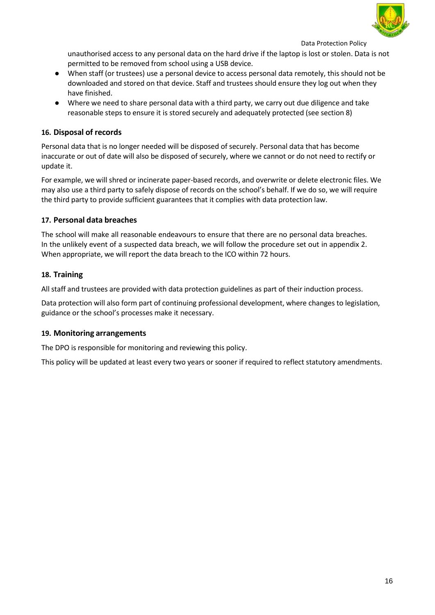

unauthorised access to any personal data on the hard drive if the laptop is lost or stolen. Data is not permitted to be removed from school using a USB device.

- When staff (or trustees) use a personal device to access personal data remotely, this should not be downloaded and stored on that device. Staff and trustees should ensure they log out when they have finished.
- Where we need to share personal data with a third party, we carry out due diligence and take reasonable steps to ensure it is stored securely and adequately protected (see section 8)

## **16. Disposal of records**

Personal data that is no longer needed will be disposed of securely. Personal data that has become inaccurate or out of date will also be disposed of securely, where we cannot or do not need to rectify or update it.

For example, we will shred or incinerate paper-based records, and overwrite or delete electronic files. We may also use a third party to safely dispose of records on the school's behalf. If we do so, we will require the third party to provide sufficient guarantees that it complies with data protection law.

### **17. Personal data breaches**

The school will make all reasonable endeavours to ensure that there are no personal data breaches. In the unlikely event of a suspected data breach, we will follow the procedure set out in appendix 2. When appropriate, we will report the data breach to the ICO within 72 hours.

## **18. Training**

All staff and trustees are provided with data protection guidelines as part of their induction process.

Data protection will also form part of continuing professional development, where changes to legislation, guidance or the school's processes make it necessary.

### **19. Monitoring arrangements**

The DPO is responsible for monitoring and reviewing this policy.

This policy will be updated at least every two years or sooner if required to reflect statutory amendments.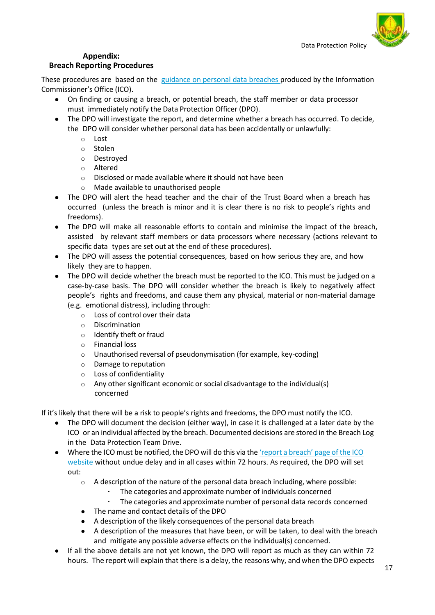

# **Appendix:**

## **Breach Reporting Procedures**

These procedures are based on the guidance on personal data [breaches](https://ico.org.uk/for-organisations/guide-to-the-general-data-protection-regulation-gdpr/personal-data-breaches/) produced by the Information Commissioner's Office (ICO).

- On finding or causing a breach, or potential breach, the staff member or data processor must immediately notify the Data Protection Officer (DPO).
- The DPO will investigate the report, and determine whether a breach has occurred. To decide, the DPO will consider whether personal data has been accidentally or unlawfully:
	- o Lost
	- o Stolen
	- o Destroyed
	- o Altered
	- o Disclosed or made available where it should not have been
	- o Made available to unauthorised people
- The DPO will alert the head teacher and the chair of the Trust Board when a breach has occurred (unless the breach is minor and it is clear there is no risk to people's rights and freedoms).
- The DPO will make all reasonable efforts to contain and minimise the impact of the breach, assisted by relevant staff members or data processors where necessary (actions relevant to specific data types are set out at the end of these procedures).
- The DPO will assess the potential consequences, based on how serious they are, and how likely they are to happen.
- The DPO will decide whether the breach must be reported to the ICO. This must be judged on a case-by-case basis. The DPO will consider whether the breach is likely to negatively affect people's rights and freedoms, and cause them any physical, material or non-material damage (e.g. emotional distress), including through:
	- o Loss of control over their data
	- o Discrimination
	- o Identify theft or fraud
	- o Financial loss
	- o Unauthorised reversal of pseudonymisation (for example, key-coding)
	- o Damage to reputation
	- o Loss of confidentiality
	- o Any other significant economic or social disadvantage to the individual(s) concerned

If it's likely that there will be a risk to people's rights and freedoms, the DPO must notify the ICO.

- The DPO will document the decision (either way), in case it is challenged at a later date by the ICO or an individual affected by the breach. Documented decisions are stored in the Breach Log in the Data Protection Team Drive.
- Where the ICO must be notified, the DPO will do this via the 'report a [breach'](https://ico.org.uk/for-organisations/report-a-breach/) page of the IC[O](https://ico.org.uk/for-organisations/report-a-breach/) [website](https://ico.org.uk/for-organisations/report-a-breach/) without undue delay and in all cases within 72 hours. As required, the DPO will set out:
	- $\circ$  A description of the nature of the personal data breach including, where possible:
		- The categories and approximate number of individuals concerned
		- The categories and approximate number of personal data records concerned
	- The name and contact details of the DPO
	- A description of the likely consequences of the personal data breach
	- A description of the measures that have been, or will be taken, to deal with the breach and mitigate any possible adverse effects on the individual(s) concerned.
- If all the above details are not yet known, the DPO will report as much as they can within 72 hours. The report will explain that there is a delay, the reasons why, and when the DPO expects